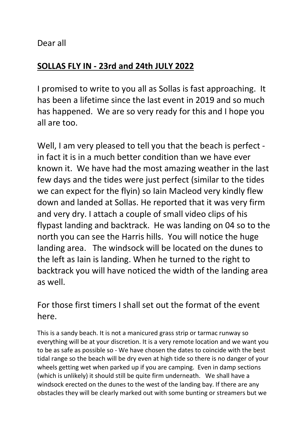Dear all

# SOLLAS FLY IN - 23rd and 24th JULY 2022

I promised to write to you all as Sollas is fast approaching. It has been a lifetime since the last event in 2019 and so much has happened. We are so very ready for this and I hope you all are too.

Well, I am very pleased to tell you that the beach is perfect in fact it is in a much better condition than we have ever known it. We have had the most amazing weather in the last few days and the tides were just perfect (similar to the tides we can expect for the flyin) so Iain Macleod very kindly flew down and landed at Sollas. He reported that it was very firm and very dry. I attach a couple of small video clips of his flypast landing and backtrack. He was landing on 04 so to the north you can see the Harris hills. You will notice the huge landing area. The windsock will be located on the dunes to the left as Iain is landing. When he turned to the right to backtrack you will have noticed the width of the landing area as well.

# For those first timers I shall set out the format of the event here.

This is a sandy beach. It is not a manicured grass strip or tarmac runway so everything will be at your discretion. It is a very remote location and we want you to be as safe as possible so - We have chosen the dates to coincide with the best tidal range so the beach will be dry even at high tide so there is no danger of your wheels getting wet when parked up if you are camping. Even in damp sections (which is unlikely) it should still be quite firm underneath. We shall have a windsock erected on the dunes to the west of the landing bay. If there are any obstacles they will be clearly marked out with some bunting or streamers but we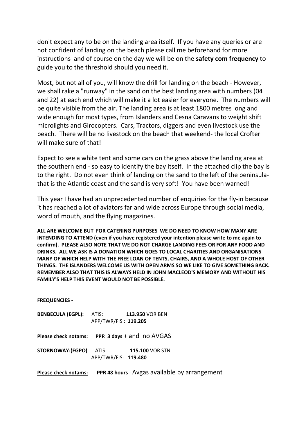don't expect any to be on the landing area itself. If you have any queries or are not confident of landing on the beach please call me beforehand for more instructions and of course on the day we will be on the safety com frequency to guide you to the threshold should you need it.

Most, but not all of you, will know the drill for landing on the beach - However, we shall rake a "runway" in the sand on the best landing area with numbers (04 and 22) at each end which will make it a lot easier for everyone. The numbers will be quite visible from the air. The landing area is at least 1800 metres long and wide enough for most types, from Islanders and Cesna Caravans to weight shift microlights and Girocopters. Cars, Tractors, diggers and even livestock use the beach. There will be no livestock on the beach that weekend- the local Crofter will make sure of that!

Expect to see a white tent and some cars on the grass above the landing area at the southern end - so easy to identify the bay itself. In the attached clip the bay is to the right. Do not even think of landing on the sand to the left of the peninsulathat is the Atlantic coast and the sand is very soft! You have been warned!

This year I have had an unprecedented number of enquiries for the fly-in because it has reached a lot of aviators far and wide across Europe through social media, word of mouth, and the flying magazines.

ALL ARE WELCOME BUT FOR CATERING PURPOSES WE DO NEED TO KNOW HOW MANY ARE INTENDING TO ATTEND (even if you have registered your intention please write to me again to confirm). PLEASE ALSO NOTE THAT WE DO NOT CHARGE LANDING FEES OR FOR ANY FOOD AND DRINKS. ALL WE ASK IS A DONATION WHICH GOES TO LOCAL CHARITIES AND ORGANISATIONS MANY OF WHICH HELP WITH THE FREE LOAN OF TENTS, CHAIRS, AND A WHOLE HOST OF OTHER THINGS. THE ISLANDERS WELCOME US WITH OPEN ARMS SO WE LIKE TO GIVE SOMETHING BACK. REMEMBER ALSO THAT THIS IS ALWAYS HELD IN JOHN MACLEOD'S MEMORY AND WITHOUT HIS FAMILY'S HELP THIS EVENT WOULD NOT BE POSSIBLE.

#### FREQUENCIES -

- BENBECULA (EGPL): ATIS: 113.950 VOR BEN APP/TWR/FIS : 119.205
- Please check notams: PPR 3 days + and no AVGAS
- STORNOWAY:(EGPO) ATIS: 115.100 VOR STN APP/TWR/FIS: 119.480
- Please check notams: PPR 48 hours Avgas available by arrangement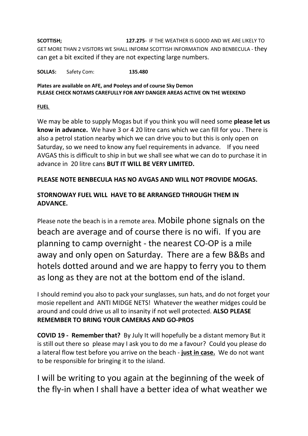SCOTTISH; 127.275- IF THE WEATHER IS GOOD AND WE ARE LIKELY TO GET MORE THAN 2 VISITORS WE SHALL INFORM SCOTTISH INFORMATION AND BENBECULA - they can get a bit excited if they are not expecting large numbers.

SOLLAS: Safety Com: 135.480

### Plates are available on AFE, and Pooleys and of course Sky Demon PLEASE CHECK NOTAMS CAREFULLY FOR ANY DANGER AREAS ACTIVE ON THE WEEKEND

FUEL

We may be able to supply Mogas but if you think you will need some please let us know in advance. We have 3 or 4 20 litre cans which we can fill for you . There is also a petrol station nearby which we can drive you to but this is only open on Saturday, so we need to know any fuel requirements in advance. If you need AVGAS this is difficult to ship in but we shall see what we can do to purchase it in advance in 20 litre cans BUT IT WILL BE VERY LIMITED.

### PLEASE NOTE BENBECULA HAS NO AVGAS AND WILL NOT PROVIDE MOGAS.

## STORNOWAY FUEL WILL HAVE TO BE ARRANGED THROUGH THEM IN ADVANCE.

Please note the beach is in a remote area. Mobile phone signals on the beach are average and of course there is no wifi. If you are planning to camp overnight - the nearest CO-OP is a mile away and only open on Saturday. There are a few B&Bs and hotels dotted around and we are happy to ferry you to them as long as they are not at the bottom end of the island.

I should remind you also to pack your sunglasses, sun hats, and do not forget your mosie repellent and ANTI MIDGE NETS! Whatever the weather midges could be around and could drive us all to insanity if not well protected. ALSO PLEASE REMEMBER TO BRING YOUR CAMERAS AND GO-PROS

COVID 19 - Remember that? By July It will hopefully be a distant memory But it is still out there so please may I ask you to do me a favour? Could you please do a lateral flow test before you arrive on the beach - just in case. We do not want to be responsible for bringing it to the island.

I will be writing to you again at the beginning of the week of the fly-in when I shall have a better idea of what weather we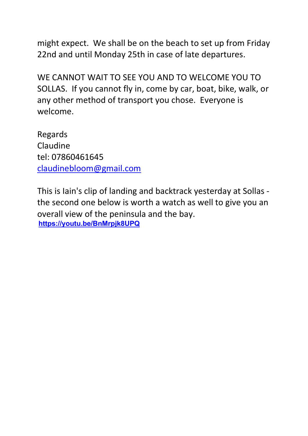might expect. We shall be on the beach to set up from Friday 22nd and until Monday 25th in case of late departures.

WE CANNOT WAIT TO SEE YOU AND TO WELCOME YOU TO SOLLAS. If you cannot fly in, come by car, boat, bike, walk, or any other method of transport you chose. Everyone is welcome.

Regards Claudine tel: 07860461645 claudinebloom@gmail.com

This is Iain's clip of landing and backtrack yesterday at Sollas the second one below is worth a watch as well to give you an overall view of the peninsula and the bay. https://youtu.be/BnMrpjk8UPQ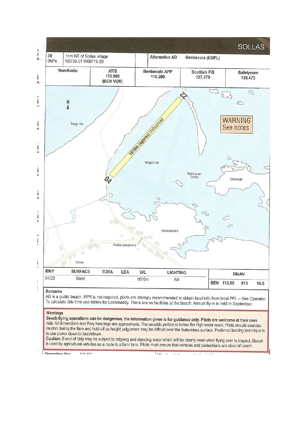